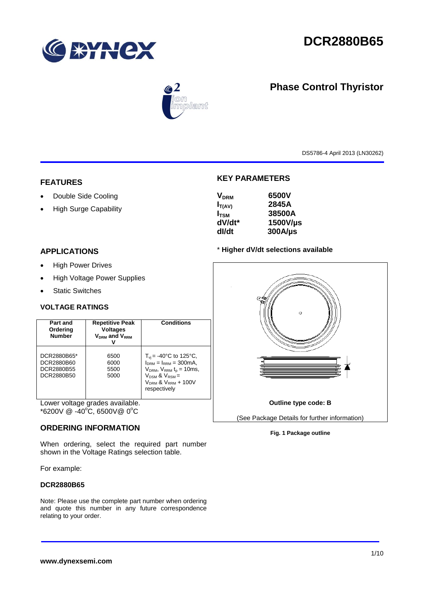

# **DCR2880B65**



# **Phase Control Thyristor**

DS5786-4 April 2013 (LN30262)

# **FEATURES**

- Double Side Cooling
- High Surge Capability

# **KEY PARAMETERS**

| <b>V<sub>DRM</sub></b> | 6500V        |
|------------------------|--------------|
| $I_{T(AV)}$            | 2845A        |
| $I_{\text{TSM}}$       | 38500A       |
| dV/dt*                 | 1500V/µs     |
| dl/dt                  | $300A/\mu s$ |

# **APPLICATIONS**

- High Power Drives
- High Voltage Power Supplies
- Static Switches

# **VOLTAGE RATINGS**

| Part and<br>Ordering<br><b>Number</b>                 | <b>Repetitive Peak</b><br><b>Voltages</b><br><b>VDRM</b> and VRRM | Conditions                                                                                                                                                                                |
|-------------------------------------------------------|-------------------------------------------------------------------|-------------------------------------------------------------------------------------------------------------------------------------------------------------------------------------------|
| DCR2880B65*<br>DCR2880B60<br>DCR2880B55<br>DCR2880B50 | 6500<br>6000<br>5500<br>5000                                      | $T_{\rm vi}$ = -40°C to 125°C,<br>$I_{DRM} = I_{RRM} = 300 \text{mA}$<br>$V_{DRM}$ , $V_{RRM}$ $t_{p}$ = 10ms,<br>$V_{DSM}$ & $V_{RSM}$ =<br>$V_{DRM}$ & $V_{RRM}$ + 100V<br>respectively |

Lower voltage grades available.  $*6200V \ @ \ -40^{\circ}\text{C}, 6500V \ @ \ 0^{\circ}\text{C}$ 

# **ORDERING INFORMATION**

When ordering, select the required part number shown in the Voltage Ratings selection table.

For example:

### **DCR2880B65**

Note: Please use the complete part number when ordering and quote this number in any future correspondence relating to your order.



### **Fig. 1 Package outline**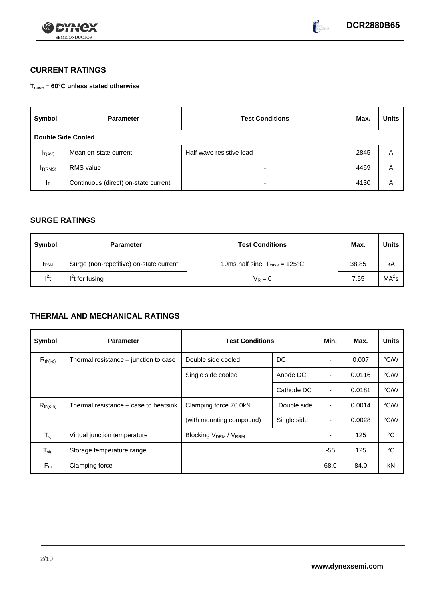



# **CURRENT RATINGS**

**Tcase = 60°C unless stated otherwise**

| Symbol                    | <b>Parameter</b>                     | <b>Test Conditions</b>   | Max. | <b>Units</b> |  |  |
|---------------------------|--------------------------------------|--------------------------|------|--------------|--|--|
| <b>Double Side Cooled</b> |                                      |                          |      |              |  |  |
| $I_T(AV)$                 | Mean on-state current                | Half wave resistive load | 2845 | A            |  |  |
| I <sub>T(RMS)</sub>       | <b>RMS</b> value                     | $\overline{\phantom{0}}$ | 4469 | A            |  |  |
| $I_T$                     | Continuous (direct) on-state current | $\overline{\phantom{0}}$ | 4130 | Α            |  |  |

# **SURGE RATINGS**

| Symbol       | <b>Parameter</b>                        | <b>Test Conditions</b>                            | Max.  | Units             |
|--------------|-----------------------------------------|---------------------------------------------------|-------|-------------------|
| <b>I</b> TSM | Surge (non-repetitive) on-state current | 10ms half sine, $T_{\text{case}} = 125^{\circ}$ C | 38.85 | kA                |
| $l^2t$       | $I2t$ for fusing                        | $V_R = 0$                                         | 7.55  | MA <sup>2</sup> s |

# **THERMAL AND MECHANICAL RATINGS**

| Symbol           | <b>Parameter</b>                      | <b>Test Conditions</b>      | Min.        | Max.           | <b>Units</b> |      |
|------------------|---------------------------------------|-----------------------------|-------------|----------------|--------------|------|
| $R_{th(j-c)}$    | Thermal resistance – junction to case | Double side cooled          | DC          |                | 0.007        | °C/W |
|                  |                                       | Single side cooled          | Anode DC    |                | 0.0116       | °C/W |
|                  |                                       |                             | Cathode DC  | $\blacksquare$ | 0.0181       | °C/W |
| $R_{th(c-h)}$    | Thermal resistance – case to heatsink | Clamping force 76.0kN       | Double side | $\blacksquare$ | 0.0014       | °C/W |
|                  |                                       | (with mounting compound)    | Single side | ٠              | 0.0028       | °C/W |
| $T_{\rm vj}$     | Virtual junction temperature          | <b>Blocking VDRM / VRRM</b> |             | ٠              | 125          | °C   |
| $T_{\text{stg}}$ | Storage temperature range             |                             |             | $-55$          | 125          | °C   |
| $F_m$            | Clamping force                        |                             |             | 68.0           | 84.0         | kN   |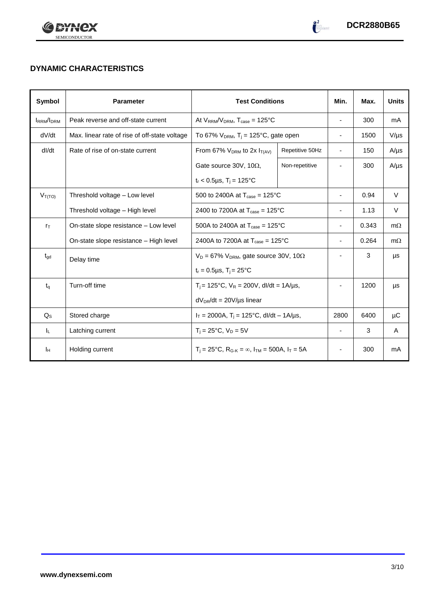



# **DYNAMIC CHARACTERISTICS**

| Symbol            | <b>Parameter</b>                              | <b>Test Conditions</b>                                                  |                 | Min.                     | Max.  | <b>Units</b> |
|-------------------|-----------------------------------------------|-------------------------------------------------------------------------|-----------------|--------------------------|-------|--------------|
| <b>IRRM</b> /IDRM | Peak reverse and off-state current            | At $V_{RRM}/V_{DRM}$ , $T_{case} = 125^{\circ}C$                        |                 | $\overline{\phantom{a}}$ | 300   | mA           |
| dV/dt             | Max. linear rate of rise of off-state voltage | To 67% $V_{DRM}$ , T <sub>i</sub> = 125°C, gate open                    |                 | $\overline{\phantom{a}}$ | 1500  | $V/\mu s$    |
| dl/dt             | Rate of rise of on-state current              | From 67% $V_{DRM}$ to 2x $I_{T(AV)}$                                    | Repetitive 50Hz | $\overline{\phantom{a}}$ | 150   | $A/\mu s$    |
|                   |                                               | Gate source 30V, 10 $\Omega$ ,                                          | Non-repetitive  |                          | 300   | $A/\mu s$    |
|                   |                                               | $t_r$ < 0.5µs, T <sub>i</sub> = 125°C                                   |                 |                          |       |              |
| $V_{T(TO)}$       | Threshold voltage - Low level                 | 500 to 2400A at $T_{\text{case}} = 125^{\circ}$ C                       |                 | ٠                        | 0.94  | V            |
|                   | Threshold voltage - High level                | 2400 to 7200A at $T_{\text{case}} = 125^{\circ}$ C                      |                 | ٠                        | 1.13  | V            |
| $r_{\text{T}}$    | On-state slope resistance – Low level         | 500A to 2400A at $T_{\text{case}} = 125^{\circ}$ C                      |                 | $\overline{\phantom{0}}$ | 0.343 | $m\Omega$    |
|                   | On-state slope resistance - High level        | 2400A to 7200A at $T_{\text{case}} = 125^{\circ}$ C                     |                 | $\overline{\phantom{a}}$ | 0.264 | $m\Omega$    |
| $t_{\text{gd}}$   | Delay time                                    | $V_D = 67\%$ V <sub>DRM</sub> , gate source 30V, 10 $\Omega$            |                 | -                        | 3     | μs           |
|                   |                                               | $t_r = 0.5 \mu s$ , $T_i = 25$ °C                                       |                 |                          |       |              |
| $t_{\alpha}$      | Turn-off time                                 | $T_i$ = 125°C, $V_R$ = 200V, dl/dt = 1A/µs,                             |                 |                          | 1200  | μs           |
|                   |                                               | $dV_{DR}/dt = 20V/\mu s$ linear                                         |                 |                          |       |              |
| $Q_{\rm S}$       | Stored charge                                 | $I_T = 2000A$ , $T_i = 125^{\circ}C$ , dl/dt – 1A/us,                   |                 | 2800                     | 6400  | μC           |
| IL.               | Latching current                              | $T_i = 25^{\circ}C$ , $V_D = 5V$                                        |                 | $\blacksquare$           | 3     | A            |
| Iн                | Holding current                               | $T_i = 25^{\circ}C$ , $R_{G-K} = \infty$ , $I_{TM} = 500A$ , $I_T = 5A$ |                 | $\overline{\phantom{0}}$ | 300   | mA           |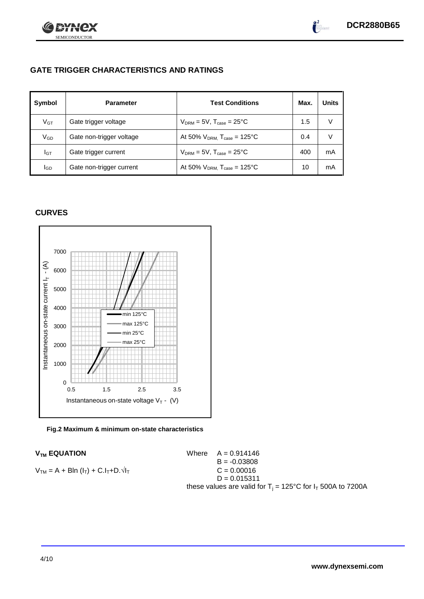



# **GATE TRIGGER CHARACTERISTICS AND RATINGS**

| Symbol          | <b>Parameter</b>         | <b>Test Conditions</b>                       | Max. | <b>Units</b> |
|-----------------|--------------------------|----------------------------------------------|------|--------------|
| V <sub>GT</sub> | Gate trigger voltage     | $V_{DRM}$ = 5V, $T_{case}$ = 25°C            | 1.5  | V            |
| $V_{GD}$        | Gate non-trigger voltage | At 50% $V_{DRM}$ , $T_{case} = 125^{\circ}C$ | 0.4  | V            |
| Iст             | Gate trigger current     | $V_{DRM}$ = 5V, $T_{case}$ = 25°C            | 400  | mA           |
| lgp             | Gate non-trigger current | At 50% $V_{DRM}$ , $T_{case} = 125^{\circ}C$ | 10   | mA           |

# **CURVES**



## **Fig.2 Maximum & minimum on-state characteristics**

# **V<sub>TM</sub> EQUATION**

 $V_{TM} = A + BIn (I_T) + C.I_T + D.\sqrt{I_T}$ 

|  | Where $A = 0.914146$ |                                                                         |  |
|--|----------------------|-------------------------------------------------------------------------|--|
|  | $B = -0.03808$       |                                                                         |  |
|  | $C = 0.00016$        |                                                                         |  |
|  | $D = 0.015311$       |                                                                         |  |
|  |                      | these values are valid for $T_i = 125^{\circ}C$ for $I_T$ 500A to 7200A |  |
|  |                      |                                                                         |  |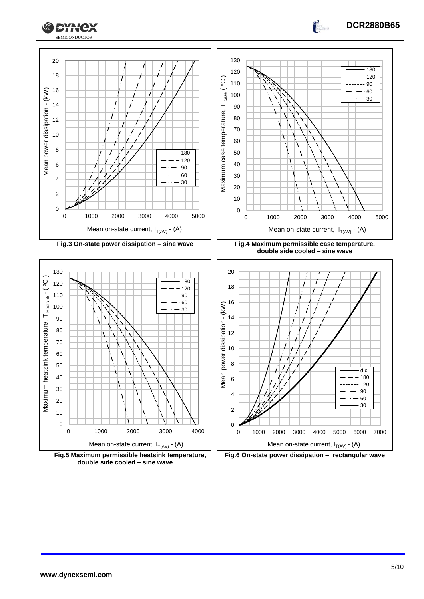



**Fig.5 Maximum permissible heatsink temperature, double side cooled – sine wave**



**DCR2880B65**

 $\frac{2}{1}$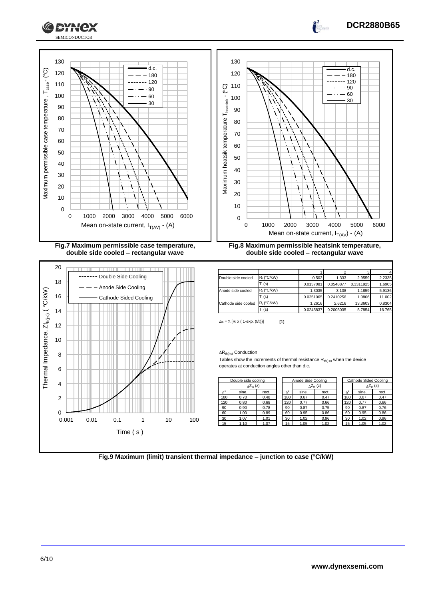



**Fig.7 Maximum permissible case temperature, double side cooled – rectangular wave**



**Fig.8 Maximum permissible heatsink temperature, double side cooled – rectangular wave**

| Double side cooled  | $R_i$ (°C/kW) | 0.502     | 1.333     | 2.9559    | 2.2335 |
|---------------------|---------------|-----------|-----------|-----------|--------|
|                     | $T_i$ (s)     | 0.0137081 | 0.0548877 | 0.3311925 | 1.6905 |
| Anode side cooled   | $R_i$ (°C/kW) | 1.3035    | 3.138     | 1.1859    | 5.9136 |
|                     | $T_i$ (s)     | 0.0251065 | 0.2410256 | 1.0806    | 11.002 |
| Cathode side cooled | $R_i$ (°C/kW) | 1.2616    | 2.6216    | 13.3603   | 0.8304 |
|                     | $T_i$ (s)     | 0.0245837 | 0.2005035 | 5.7854    | 16.765 |

 $Z_{\text{th}} = \sum [R_i \times (1 - \exp. (t/t_i))]$  [1]

### $\Delta R_{th(j\text{-}c)}$  Conduction

Tables show the increments of thermal resistance  $R_{th(j-c)}$  when the device operates at conduction angles other than d.c.

|                  | Double side cooling  |       |                  | Anode Side Cooling |                     | Cathode Sided Cooling |       |                            |
|------------------|----------------------|-------|------------------|--------------------|---------------------|-----------------------|-------|----------------------------|
|                  | $\Lambda Z_{th}$ (z) |       |                  |                    | $\wedge Z_{th}$ (z) |                       |       | $\Delta Z_{\text{th}}$ (z) |
| $\theta^{\circ}$ | sine.                | rect. | $\theta^{\circ}$ | sine.              | rect.               | $\theta^{\circ}$      | sine. | rect.                      |
| 180              | 0.70                 | 0.48  | 180              | 0.67               | 0.47                | 180                   | 0.67  | 0.47                       |
| 120              | 0.80                 | 0.68  | 120              | 0.77               | 0.66                | 120                   | 0.77  | 0.66                       |
| 90               | 0.90                 | 0.78  | 90               | 0.87               | 0.75                | 90                    | 0.87  | 0.76                       |
| 60               | 1.00                 | 0.89  | 60               | 0.95               | 0.86                | 60                    | 0.95  | 0.86                       |
| 30               | 1.07                 | 1.01  | 30               | 1.02               | 0.96                | 30                    | 1.02  | 0.96                       |
| 15               | 1.10                 | 1.07  | 15               | 1.05               | 1.02                | 15                    | 1.05  | 1.02                       |

|                  | <b>Cathode Sided Cooling</b> |                           |  |  |  |  |
|------------------|------------------------------|---------------------------|--|--|--|--|
|                  |                              | $\wedge Z_{\text{th}}(z)$ |  |  |  |  |
| $\theta^{\circ}$ | sine.                        | rect.                     |  |  |  |  |
| 180              | 0.67                         | 0.47                      |  |  |  |  |
| 120              | 0.77                         | 0.66                      |  |  |  |  |
| 90               | 0.87                         | 0.76                      |  |  |  |  |
| 60               | 0.95                         | 0.86                      |  |  |  |  |
| 30               | 1.02                         | 0.96                      |  |  |  |  |
| 15               | 1.05                         | 1.02                      |  |  |  |  |
|                  |                              |                           |  |  |  |  |

**DCR2880B65**

**Fig.9 Maximum (limit) transient thermal impedance – junction to case (°C/kW)**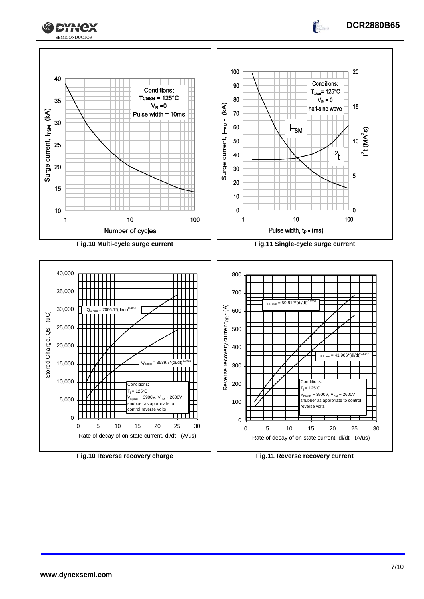



**Fig.10 Reverse recovery charge Fig.11 Reverse recovery current**

Rate of decay of on-state current, di/dt - (A/us)

Rate of decay of on-state current, di/dt - (A/us)

**DCR2880B65**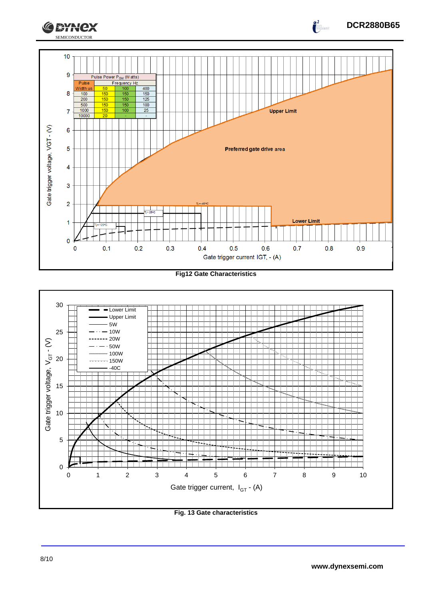

**Fig12 Gate Characteristics**



**Fig. 13 Gate characteristics**

**DCR2880B65**

 $\int_{0}^{2}$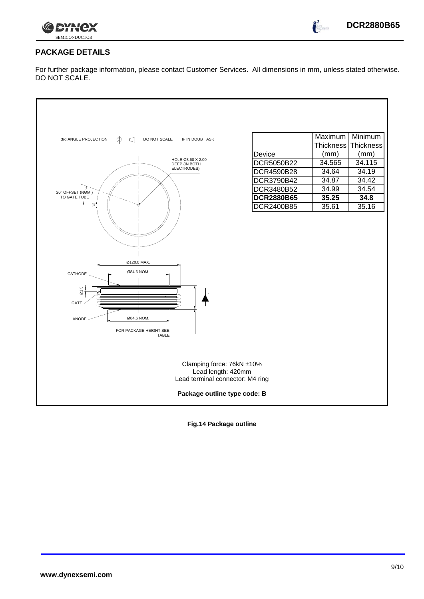

 $\int_{0}^{2}$ 

# **PACKAGE DETAILS**

For further package information, please contact Customer Services. All dimensions in mm, unless stated otherwise. DO NOT SCALE.

| 3rd ANGLE PROJECTION<br>DO NOT SCALE<br>IF IN DOUBT ASK<br>$-\bigoplus -\bigoplus -$                                            | Maximum<br><b>Thickness</b> | Minimum<br>Thickness |  |  |  |  |  |
|---------------------------------------------------------------------------------------------------------------------------------|-----------------------------|----------------------|--|--|--|--|--|
| Device                                                                                                                          | (mm)                        | (mm)                 |  |  |  |  |  |
| HOLE Ø3.60 X 2.00<br>DCR5050B22<br>DEEP (IN BOTH                                                                                | 34.565                      | 34.115               |  |  |  |  |  |
| ELECTRODES)<br><b>DCR4590B28</b>                                                                                                | 34.64                       | 34.19                |  |  |  |  |  |
| DCR3790B42                                                                                                                      | 34.87                       | 34.42                |  |  |  |  |  |
| DCR3480B52<br>20° OFFSET (NOM.)                                                                                                 | 34.99                       | 34.54                |  |  |  |  |  |
| TO GATE TUBE<br><b>DCR2880B65</b>                                                                                               | 35.25                       | 34.8                 |  |  |  |  |  |
| ভ<br><b>DCR2400B85</b>                                                                                                          | 35.61                       | 35.16                |  |  |  |  |  |
| Ø120.0 MAX.<br>Ø84.6 NOM.<br>CATHODE<br>$\frac{6}{10}$<br>GATE<br>Ø84.6 NOM.<br>ANODE<br>FOR PACKAGE HEIGHT SEE<br><b>TABLE</b> |                             |                      |  |  |  |  |  |
| Clamping force: 76kN ±10%<br>Lead length: 420mm<br>Lead terminal connector: M4 ring                                             |                             |                      |  |  |  |  |  |
| Package outline type code: B                                                                                                    |                             |                      |  |  |  |  |  |

**Fig.14 Package outline**